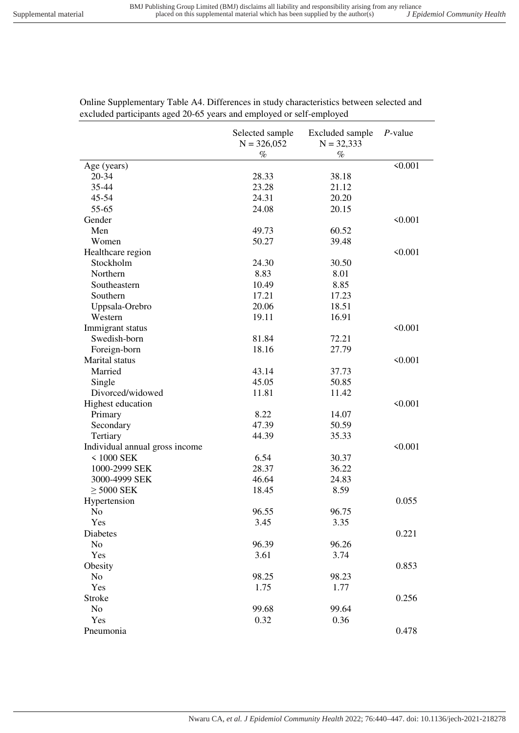|                                | Selected sample<br>$N = 326,052$ | Excluded sample<br>$N = 32,333$ | $P$ -value |
|--------------------------------|----------------------------------|---------------------------------|------------|
|                                |                                  |                                 |            |
|                                | $\%$                             | $\%$                            |            |
| Age (years)                    |                                  |                                 | < 0.001    |
| 20-34                          | 28.33                            | 38.18                           |            |
| 35-44                          | 23.28                            | 21.12                           |            |
| $45 - 54$                      | 24.31                            | 20.20                           |            |
| 55-65                          | 24.08                            | 20.15                           |            |
| Gender                         |                                  |                                 | < 0.001    |
| Men                            | 49.73                            | 60.52                           |            |
| Women                          | 50.27                            | 39.48                           |            |
| Healthcare region              |                                  |                                 | < 0.001    |
| Stockholm                      | 24.30                            | 30.50                           |            |
| Northern                       | 8.83                             | 8.01                            |            |
| Southeastern                   | 10.49                            | 8.85                            |            |
| Southern                       | 17.21                            | 17.23                           |            |
| Uppsala-Orebro                 | 20.06                            | 18.51                           |            |
| Western                        | 19.11                            | 16.91                           |            |
| Immigrant status               |                                  |                                 | < 0.001    |
| Swedish-born                   | 81.84                            | 72.21                           |            |
| Foreign-born                   | 18.16                            | 27.79                           |            |
| Marital status                 |                                  |                                 | < 0.001    |
| Married                        | 43.14                            | 37.73                           |            |
| Single                         | 45.05                            | 50.85                           |            |
| Divorced/widowed               | 11.81                            | 11.42                           |            |
| Highest education              |                                  |                                 | < 0.001    |
| Primary                        | 8.22                             | 14.07                           |            |
| Secondary                      | 47.39                            | 50.59                           |            |
| Tertiary                       | 44.39                            | 35.33                           |            |
| Individual annual gross income |                                  |                                 | < 0.001    |
| $< 1000$ SEK                   | 6.54                             | 30.37                           |            |
| 1000-2999 SEK                  | 28.37                            | 36.22                           |            |
| 3000-4999 SEK                  | 46.64                            | 24.83                           |            |
| $\geq$ 5000 SEK                | 18.45                            | 8.59                            |            |
| Hypertension                   |                                  |                                 | 0.055      |
| N <sub>o</sub>                 | 96.55                            | 96.75                           |            |
| Yes                            | 3.45                             | 3.35                            |            |
| Diabetes                       |                                  |                                 | 0.221      |
| N <sub>o</sub>                 | 96.39                            | 96.26                           |            |
| Yes                            | 3.61                             | 3.74                            |            |
| Obesity                        |                                  |                                 | 0.853      |
| N <sub>o</sub>                 | 98.25                            | 98.23                           |            |
| Yes                            | 1.75                             | 1.77                            |            |
| Stroke                         |                                  |                                 | 0.256      |
| N <sub>o</sub>                 | 99.68                            | 99.64                           |            |
| Yes                            |                                  | 0.36                            |            |
|                                | 0.32                             |                                 |            |
| Pneumonia                      |                                  |                                 | 0.478      |

Online Supplementary Table A4. Differences in study characteristics between selected and excluded participants aged 20-65 years and employed or self-employed